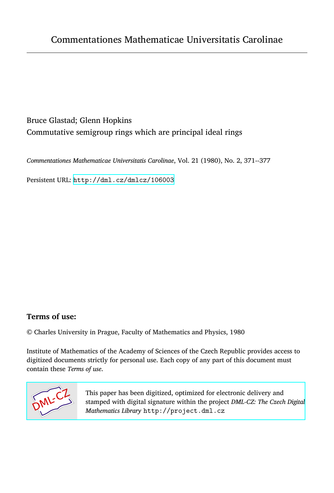# Bruce Glastad; Glenn Hopkins Commutative semigroup rings which are principal ideal rings

*Commentationes Mathematicae Universitatis Carolinae*, Vol. 21 (1980), No. 2, 371--377

Persistent URL: <http://dml.cz/dmlcz/106003>

## **Terms of use:**

© Charles University in Prague, Faculty of Mathematics and Physics, 1980

Institute of Mathematics of the Academy of Sciences of the Czech Republic provides access to digitized documents strictly for personal use. Each copy of any part of this document must contain these *Terms of use*.



[This paper has been digitized, optimized for electronic delivery and](http://project.dml.cz) stamped with digital signature within the project *DML-CZ: The Czech Digital Mathematics Library* http://project.dml.cz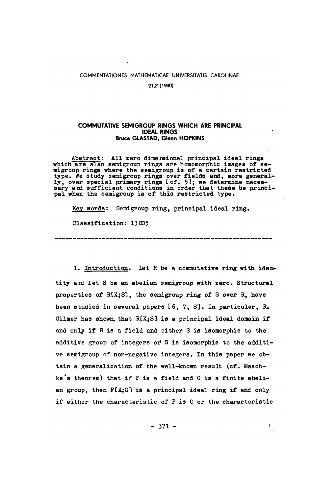### C**OMMENTATIONES MATHEMATI**C**AE UNIVERSITATIS** C**AROLINAE**

**21,2(1960)** 

### C**OMMUTATIVE SEMIGROUP RINGS WHI**C**H ARE PRIN**C**IPAL IDEAL RINGS Bruce GLASTAD, Glenn HOPKINS**

**Abstract: All zero dimensional principal ideal rings**  which are also semigroup rings are homomorphic images of se-<br>migroup rings where the semigroup is of a certain restricted<br>type. We study semigroup rings over fields and, more general-<br>ly, over special primary rings icf. 5) **pal when the semigroup is of this restricted type.** 

**Key words: Semigroup ring, principal ideal ring.** 

**Classification: 1**3**005** 

1. Introduction. Let R be a commutative ring with iden**tity and let S be an abelian semigroup with zero. Structural properties of RlX;Sl, the semigroup ring of S over R, have been studied in several papers 16,** 7**, 8'J. In particular,** R**. Gilmer has shown, that** R**tXjS] is a principal ideal domain if and only if R is a field and either S is isomorphic to the additive group of integers or\* S is isomorphic to the additive semigroup of non-negative integers. In this paper we obtain a generalization of the well-known result (cf. Maschke 's theorem) that if F is a field and G is a finite abelian group, then F[X.jG1 is a principal ideal ring if and only if either the characteristic of F is 0 or the characteristic**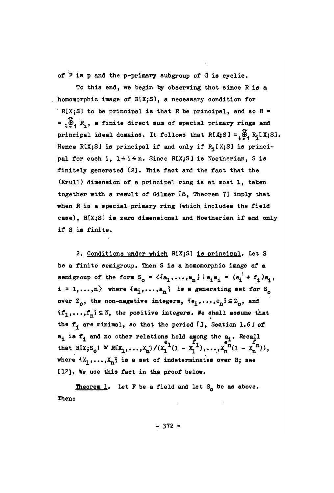**of P is p and the p-primary subgroup of G is cyclic.** 

**To this end, we begin by observing that since** R **is a homomorphic image of** R**tX;S**J**, a necessary con**d**ition for**   $R[X;S]$  to be principal is that R be principal, and so  $R =$  $\mathbf{F} = \begin{bmatrix} \mathbf{F} \\ \mathbf{F}^2 \end{bmatrix}$  **R**<sub>i</sub>, a finite direct sum of special primary rings and principal ideal domains. It follows that  $R[X;S] = \begin{bmatrix} \omega & \omega \\ 0 & R\end{bmatrix} R_i[X;S].$ Hence R[X;S] is principal if and only if  $R_i$  [X;S] is principal for each i,  $1 \le i \le n$ . Since R[X;S] is Noetherian, S is finitely generated [2]. This fact and the fact that the (Krull) dimension of a principal ring is at most 1, taken together with a result of Gilmer 18, Theorem 7] imply that when R is a special primary ring (which includes the field case), R[X;S] is zero dimensional and Noetherian if and only **case),** R**tX;S] is zero** d**imensional an**d **Noetherian if an**d **only** 

**2. Con**d**itions un**d**er which** R**tX;S**3 **is principal. Let S be a finite semigroup. Then S is a homomorphic image of a**  semigroup of the form  $S_o = \langle \{a_1, \ldots, a_n\} | e_i a_i = (e_i^{\dagger} + f_i) a_i,$  $i = 1,...,n$  where  $\{a_j,...,a_n\}$  is a generating set for  $S_n$ **over**  $Z_o$ , the non-negative integers,  $\{e_i, \ldots, e_n\} \subseteq Z_o$ , and  $\{f_1,\ldots,f_n\}\subseteq N$ , the positive integers. We shall assume that **the f. are minimal, so that the perio**d **£**3**, Section 1.6** J **of a^ is f^ and no other relations hold among the a^.** R**ecall**  that R[X;S<sub>0</sub>]  $\simeq$  R[X<sub>1</sub>,...,X<sub>n</sub>]/(X<sub>1</sub><sup>-1</sup>(1 - X<sub>1</sub><sup>-1</sup>),...,X<sub>n</sub><sup>n</sup>(1 - X<sub>n</sub><sup>n</sup>)), where  $\{X_1,\ldots,X_n\}$  is a set of indeterminates over R; see **£12]. We use this fact in the proof below.** 

**if**  $\mathbf{S} = \mathbf{S}$ 

**theorem 1. Let P be a fiel**d **an**d **let SQ be as above. Then:** 

**-** 3**72 -**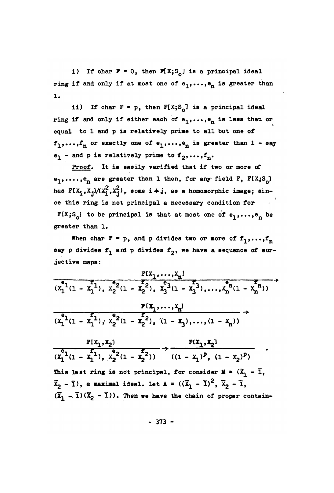**i)** If char  $F = 0$ , then  $F[X; S_0]$  is a principal ideal **ring if and only if at most one of**  $e_1, \ldots, e_n$  **is greater than 1.** 

**ii)** If char  $F = p$ , then  $F[X; S_0]$  is a principal ideal **ring if and only if either each of**  $e_1, \ldots, e_n$  **is less than or ed^**u**al to 1 and p is relatively prime to all but one of**   $f_1, \ldots, f_n$  or exactly one of  $e_1, \ldots, e_n$  is greater than  $1 - s$ ay  $e_1$  - and p is relatively prime to  $f_2, \ldots, f_n$ .

**Proof. It is easily verified that if two or more of**   $e_1, \ldots, e_n$  are greater than 1 then, for any field F,  $F[X; S_0]$ **has FtX<sup>i</sup> ,Xj}/**(**X<sup>i</sup> ,X^***)***^ some i4**-**j, as a homomorphic image; since this ring is not principal a necessary condition for**   $\texttt{FLX;S}_{\texttt{O}}$  to be principal is that at most one of  $e_1, \ldots, e_n$  be **greater than 1.** 

When char  $F = p$ , and p divides two or more of  $f_1, \ldots, f_n$ say p divides f<sub>1</sub> and p divides f<sub>2</sub>, we have a sequence of sur**jective maps:** 

$$
\frac{F[X_1,...,X_n]}{(x_1^{e_1}(1-x_1^{e_1}), x_2^{e_2}(1-x_2^{e_2}), x_3^{e_3}(1-x_3^{e_3}),...,x_n^{e_n}(1-x_n^{e_n}))}
$$
\n
$$
\frac{F[X_1,...,X_n]}{(x_1^{e_1}(1-x_1^{e_1}), x_2^{e_2}(1-x_2^{e_2}), (1-x_3),..., (1-x_n))}
$$

**f**  $(X_1, X_2)$  **f**  $(X_1, X_2)$  $\mathbf{F}_{1}$  **F**  $\mathbf{F}_{2}$   $\mathbf{F}_{2}$   $\mathbf{F}_{3}$   $\mathbf{F}_{4}$   $\mathbf{F}_{5}$ **1116 12116 13216 1011 participal**, **101 Consider**  $M = \begin{pmatrix} 0 \\ 1 \end{pmatrix}$ **)) ( d - x<sup>1</sup> ) f**  $(\overline{Y} - \overline{1})(\overline{Y} - \overline{1}))$ . Then we have the chain of proper contain *f <b><i>f*  $\bf{a}$  *z*  $\bf{a}$  *z*  $\bf{a}$  *z*  $\bf{a}$  *z*  $\bf{a}$  *z*  $\bf{a}$  *z*  $\bf{a}$  *z*  $\bf{a}$  *z*  $\bf{a}$  *z*  $\bf{a}$  *z*  $\bf{a}$  *z*  $\bf{a}$  *z*  $\bf{a}$  *z*  $\bf{a}$  *z*  $\bf{a}$  *z* 

**- 373 -**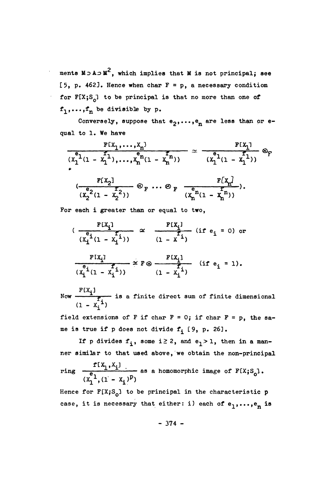ments  $M \supset A \supset M^2$ , which implies that M is not principal; see [5, p. 462]. Hence when char  $F = p$ , a necessary condition for  $F[X; S_0]$  to be principal is that no more than one of  $f_1, \ldots, f_n$  be divisible by p.

Conversely, suppose that  $e_2, \ldots, e_n$  are less than or equal to 1. We have

$$
\frac{F[X_1, ..., X_n]}{(x_1^{e_1}(1 - x_1^{f_1}), ..., x_n^{e_n}(1 - x_n^{f_n}))} \approx \frac{F[X_1]}{(x_1^{e_1}(1 - x_1^{f_1}))} \otimes_F
$$
\n
$$
\frac{F[X_2]}{(x_2^{e_2}(1 - x_2^{f_2}))} \otimes_F ... \otimes_F \frac{F[X_n]}{(x_n^{e_n}(1 - x_n^{f_n}))}.
$$

For each i greater than or equal to two,

$$
(\frac{F[X_i]}{(X_i^{\epsilon_i}(1 - X_i^{\epsilon_i}))} \approx \frac{F[X_i]}{(1 - X^{\epsilon_i})} \text{ (if } e_i = 0) \text{ or } \\ \frac{F[X_i]}{(X_i^{\epsilon_i}(1 - X_i^{\epsilon_i}))} \approx F \otimes \frac{F[X_i]}{f} \text{ (if } e_i = 1).
$$

Now  $\frac{F(X_i)}{T}$  is a finite direct sum of finite dimensional  $(1 - x_i^T)$ 

field extensions of F if char  $F = 0$ ; if char  $F = p$ , the same is true if p does not divide  $f_i$  [9, p. 26].

If p divides  $f_i$ , some i 2 2, and  $e_i > 1$ , then in a manner similar to that used above, we obtain the non-principal

ring  $\frac{f[X_1, X_1]}{e}$  as a homomorphic image of  $F[X_iS_0]$ .<br> $\frac{f[X_1, (1 - X_1)^p]}{(X_1 - X_1)^p}$ 

Hence for  $F[X; S_0]$  to be principal in the characteristic p case, it is necessary that either: i) each of  $e_1, \ldots, e_n$  is

 $-374-$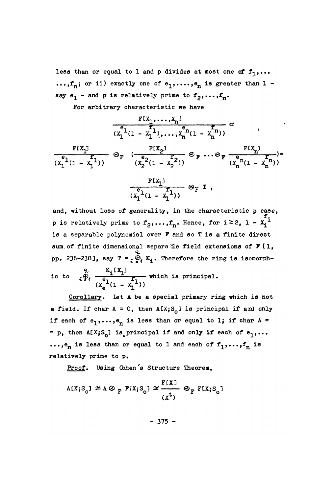less than or equal to 1 and p divides at most one of  $f_1, \ldots$  $\dots$ ,  $f_n$ ; or ii) exactly one of  $e_1, \dots, e_n$  is greater than 1 say  $e_1$  - and  $p$  is relatively prime to  $f_2, \ldots, f_n$ .

**For ar**b**itrary c**h**aracteristic we** h**ave** 

$$
\frac{F[X_1, ..., X_n]}{(X_1^{e_1}(1 - X_1^{e_1}), ..., X_n^{e_n}(1 - X_n^{e_n}))}
$$
\n
$$
\frac{F[X_1]}{(X_1^{e_1}(1 - X_1^{e_1}))}
$$
\n
$$
\otimes_F \frac{F[X_2]}{(X_2^{e_2}(1 - X_2^{e_2}))}
$$
\n
$$
\otimes_F \cdots \otimes_F \frac{F[X_n]}{(X_n^{e_n}(1 - X_n^{e_n}))}
$$
\n
$$
\frac{F[X_1]}{(X_1^{e_1}(1 - X_1^{e_1}))}
$$
\n
$$
\otimes_F T
$$

**and, wit**h**out loss of generality, in t**h**e c**h**aracteristic p case, p** is relatively prime to  $f_2, \ldots, f_n$ . Hence, for  $i \ge 2$ ,  $1 - x_i^2$ **is a se**p**ara**b**le** p**olynomial over F an**d **so T is a finite direct sum of finite** d**imensional se**p**ara tie fiel**d **extensions of F tl,**  pp. 236-238], say  $T = \begin{pmatrix} 2 \\ 0 \end{pmatrix} K_i$ . Therefore the ring is isomorphic to  $\underset{A}{\phi}$   $\underset{A}{\phi}$   $\underset{B}{\phi}$   $\underset{B}{\phi}$   $\underset{B}{\phi}$   $\underset{B}{\phi}$  which is principal.  $(X_e^{\text{-}}(1 - X_1^{\text{-}}))$ 

Corollary. Let A be a special primary ring which is not **a field.** If char  $A = 0$ , then  $A[X; S_0]$  is principal if and only if each of  $e_1, \ldots, e_n$  is less than or equal to 1; if char  $A =$  $=$  **p**, then  $A[X;S_0]$  is principal if and only if each of  $e_1, \ldots$  $\dots$ , $e_n$  is less than or equal to 1 and each of  $f_1, \dots, f_n$  is relatively prime to p.

**Proof. Using Co**h**en's Structure T**h**eorem,** 

$$
A[X; S_0] \simeq A \otimes_F F[X; S_0] \simeq \frac{F[X]}{(x^t)} \otimes_F F[X; S_0]
$$

 $-375 -$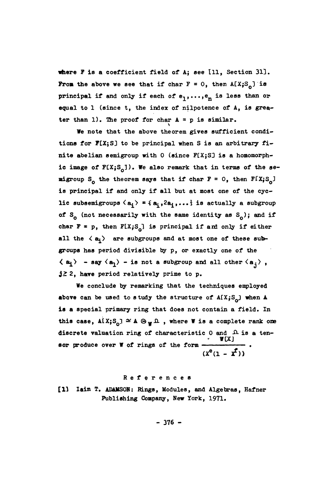where F is a coefficient field of A; see [11, Section 31]. **From the above we see that if char**  $F = 0$ **, then**  $A[X;S_n]$  **is principal if and only if each of**  $e_1, \ldots, e_n$  **is less than or** equal to 1 (since t, the index of nilpotence of A, is grea**ter than 1). The proof for char A =**- **p is similar.** 

**We note that the above theorem gives sufficient condi**tions for **F**[X;S] to be principal when S is an arbitrary fi**nite abelian semigroup with 0** (**since FCXjSD is a homomorph**ic image of  $F[X; S_{\alpha}]$ ). We also remark that in terms of the se**migroup**  $S_0$  the theorem says that if char  $F = 0$ , then  $F[X; S_0]$ **is principal if and only if all but at most one of the cyclic subsemigroups**  $\langle a_1 \rangle = \{a_1, 2a_1, \ldots\}$  **is actually a subgroup** of  $S_0$  (not necessarily with the same identity as  $S_0$ ); and if char  $F = p$ , then  $F[X; S_0]$  is principal if and only if either all the  $\langle a_i \rangle$  are subgroups and at most one of these sub**groups has period divisible by p9 or exactly one of the**   $\langle a_i \rangle$  - say  $\langle a_i \rangle$  - is not a subgroup and all other  $\langle a_i \rangle$ , **j ^ 2, have period relatively prime to p.** 

**We conclude by remarking that the techniques employed**  above can be used to study the structure of  $A[X;S_{\alpha}]$  when  $A$ **is a special primary ring that does not contain a field. In**  this case,  $A[X; S_{\alpha}] \cong A \otimes_{W} \Omega$ , where W is a complete rank one discrete valuation ring of characteristic 0 and  $\Lambda$  is a ten**sor produce over W of rings of the form**  $\frac{W(X)}{X}$ .  $(X^e(1 - X^I))$ 

#### **Reference s**

[1] Iain T. ADAMSON: Rings, Modules, and Algebras, Hafner Publishing Öompany, New Yoгk, 1971.

 $-376 -$